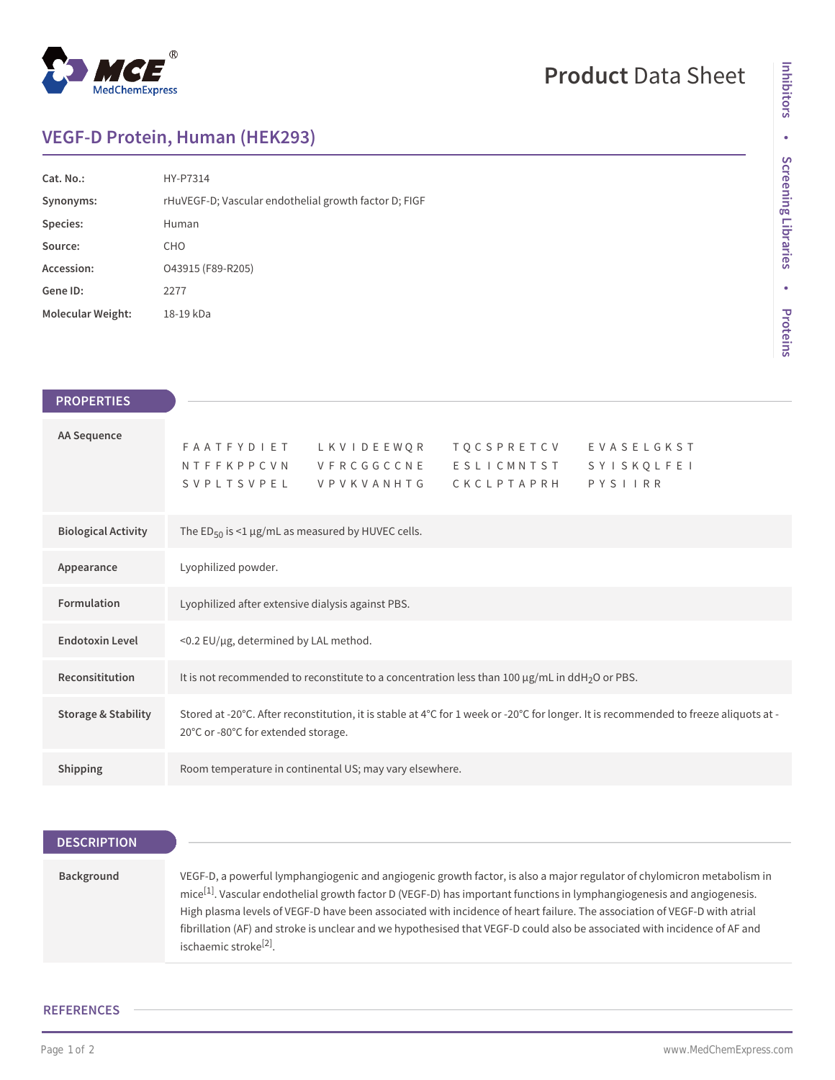

# **Product** Data Sheet

## **VEGF-D Protein, Human (HEK293)**

| Cat. No.:                | HY-P7314                                              |
|--------------------------|-------------------------------------------------------|
| Synonyms:                | rHuVEGF-D; Vascular endothelial growth factor D; FIGF |
| Species:                 | Human                                                 |
| Source:                  | <b>CHO</b>                                            |
| Accession:               | O43915 (F89-R205)                                     |
| Gene ID:                 | 2277                                                  |
| <b>Molecular Weight:</b> | 18-19 kDa                                             |

| <b>PROPERTIES</b>              |                                                                                                                                                                             |
|--------------------------------|-----------------------------------------------------------------------------------------------------------------------------------------------------------------------------|
| AA Sequence                    | <b>TQCSPRETCV</b><br>FAATFYDIET LKVIDEEWQR<br>EVASELGKST<br>NTFFKPPCVN VFRCGGCCNE<br>ESLICMNTST<br>SYISKQLFEI<br>PYSIIRR<br>SVPLTSVPEL<br>CKCLPTAPRH<br><b>VPVKVANHTG</b>   |
| <b>Biological Activity</b>     | The $ED_{50}$ is <1 $\mu$ g/mL as measured by HUVEC cells.                                                                                                                  |
| Appearance                     | Lyophilized powder.                                                                                                                                                         |
| Formulation                    | Lyophilized after extensive dialysis against PBS.                                                                                                                           |
| <b>Endotoxin Level</b>         | <0.2 EU/µg, determined by LAL method.                                                                                                                                       |
| Reconsititution                | It is not recommended to reconstitute to a concentration less than 100 $\mu$ g/mL in ddH <sub>2</sub> O or PBS.                                                             |
| <b>Storage &amp; Stability</b> | Stored at -20°C. After reconstitution, it is stable at 4°C for 1 week or -20°C for longer. It is recommended to freeze aliquots at -<br>20°C or -80°C for extended storage. |
| Shipping                       | Room temperature in continental US; may vary elsewhere.                                                                                                                     |

## **DESCRIPTION**

## **Background** VEGF-D, a powerful lymphangiogenic and angiogenic growth factor, is also a major regulator of chylomicron metabolism in mice[1]. Vascular endothelial growth factor D (VEGF-D) has important functions in lymphangiogenesis and angiogenesis. High plasma levels of VEGF-D have been associated with incidence of heart failure. The association of VEGF-D with atrial fibrillation (AF) and stroke is unclear and we hypothesised that VEGF-D could also be associated with incidence of AF and ischaemic stroke<sup>[2]</sup>.

#### **REFERENCES**